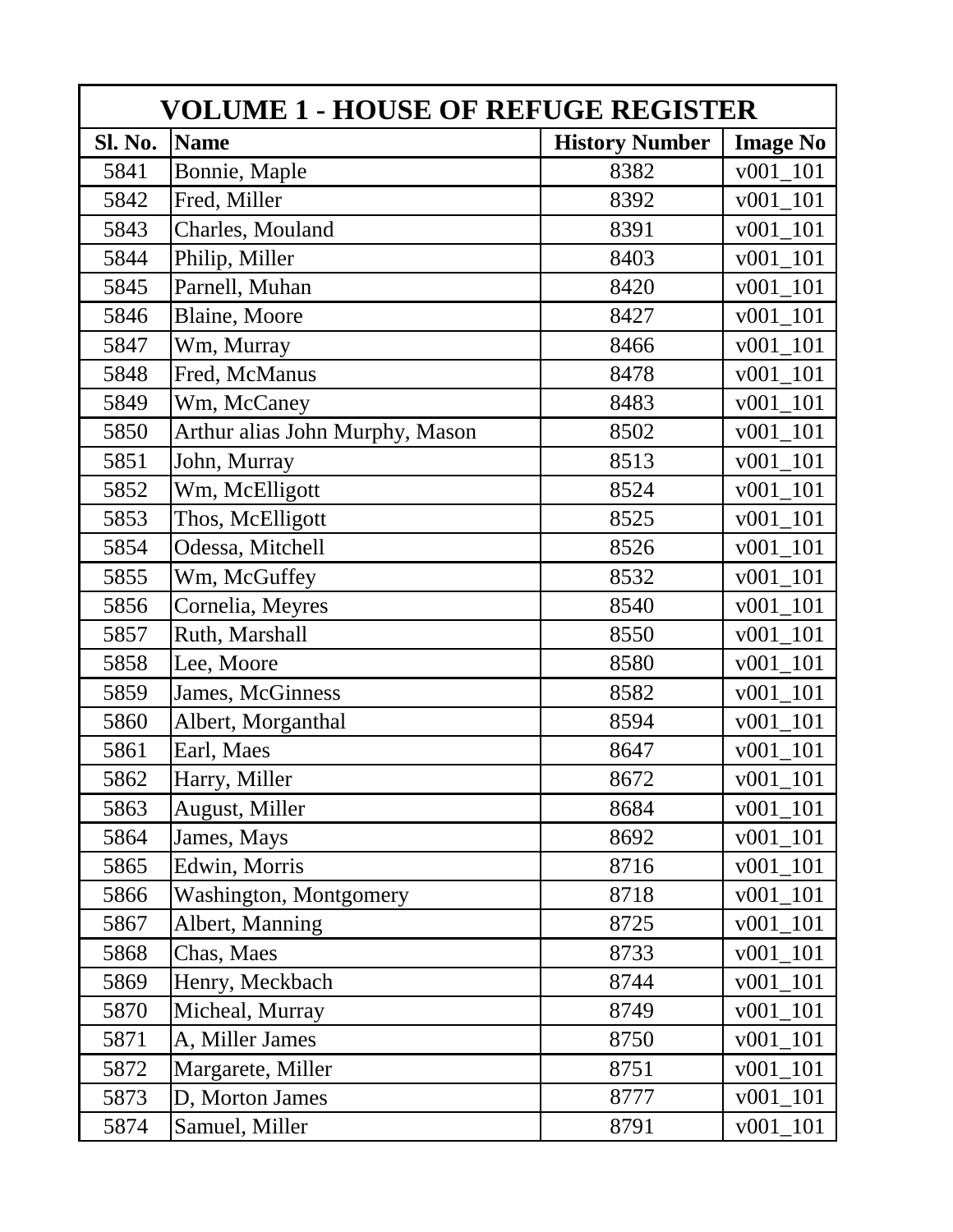| <b>VOLUME 1 - HOUSE OF REFUGE REGISTER</b> |                                 |                       |                  |  |
|--------------------------------------------|---------------------------------|-----------------------|------------------|--|
| Sl. No.                                    | <b>Name</b>                     | <b>History Number</b> | <b>Image No</b>  |  |
| 5841                                       | Bonnie, Maple                   | 8382                  | v001 101         |  |
| 5842                                       | Fred, Miller                    | 8392                  | $v001_101$       |  |
| 5843                                       | Charles, Mouland                | 8391                  | v001 101         |  |
| 5844                                       | Philip, Miller                  | 8403                  | v001 101         |  |
| 5845                                       | Parnell, Muhan                  | 8420                  | 101<br>v001      |  |
| 5846                                       | Blaine, Moore                   | 8427                  | 101<br>v001      |  |
| 5847                                       | Wm, Murray                      | 8466                  | 101<br>v001      |  |
| 5848                                       | Fred, McManus                   | 8478                  | v001 101         |  |
| 5849                                       | Wm, McCaney                     | 8483                  | v001 101         |  |
| 5850                                       | Arthur alias John Murphy, Mason | 8502                  | v001 101         |  |
| 5851                                       | John, Murray                    | 8513                  | $v001_101$       |  |
| 5852                                       | Wm, McElligott                  | 8524                  | v001 101         |  |
| 5853                                       | Thos, McElligott                | 8525                  | v001 101         |  |
| 5854                                       | Odessa, Mitchell                | 8526                  | v001 101         |  |
| 5855                                       | Wm, McGuffey                    | 8532                  | v001 101         |  |
| 5856                                       | Cornelia, Meyres                | 8540                  | v001 101         |  |
| 5857                                       | Ruth, Marshall                  | 8550                  | v001 101         |  |
| 5858                                       | Lee, Moore                      | 8580                  | $v001_101$       |  |
| 5859                                       | James, McGinness                | 8582                  | $v001_101$       |  |
| 5860                                       | Albert, Morganthal              | 8594                  | v001 101         |  |
| 5861                                       | Earl, Maes                      | 8647                  | 101<br>v001      |  |
| 5862                                       | Harry, Miller                   | 8672                  | 101<br>v001      |  |
| 5863                                       | August, Miller                  | 8684                  | 101<br>v001      |  |
| 5864                                       | James, Mays                     | 8692                  | 101<br>v001      |  |
| 5865                                       | Edwin, Morris                   | 8716                  | v001<br>101      |  |
| 5866                                       | Washington, Montgomery          | 8718                  | v001 101         |  |
| 5867                                       | Albert, Manning                 | 8725                  | $v001_101$       |  |
| 5868                                       | Chas, Maes                      | 8733                  | v001 101         |  |
| 5869                                       | Henry, Meckbach                 | 8744                  | v001 101         |  |
| 5870                                       | Micheal, Murray                 | 8749                  | v001 101         |  |
| 5871                                       | A, Miller James                 | 8750                  | $_{101}$<br>v001 |  |
| 5872                                       | Margarete, Miller               | 8751                  | $v001_101$       |  |
| 5873                                       | D, Morton James                 | 8777                  | v001 101         |  |
| 5874                                       | Samuel, Miller                  | 8791                  | v001 101         |  |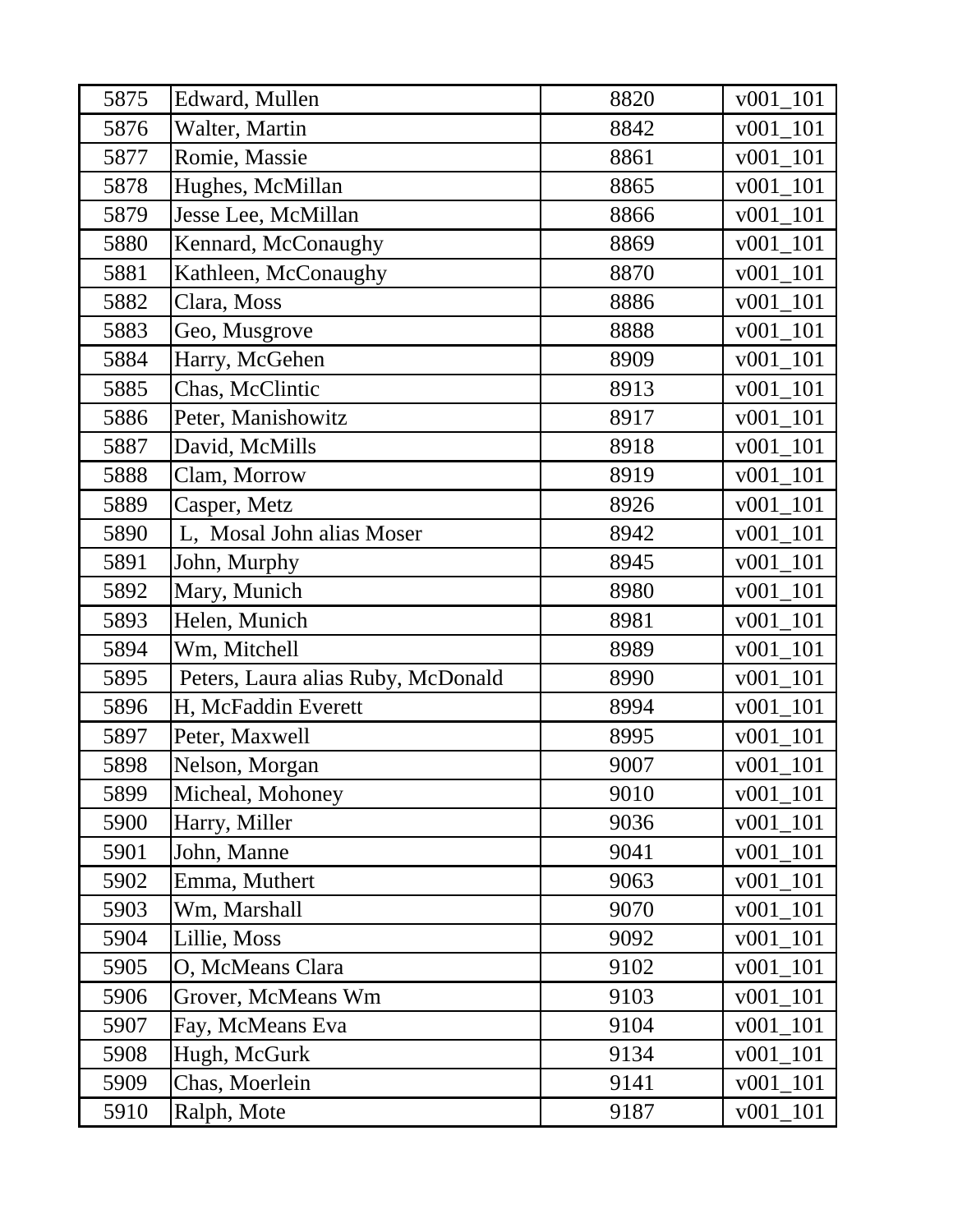| 5875 | Edward, Mullen                     | 8820 | $v001_101$  |
|------|------------------------------------|------|-------------|
| 5876 | Walter, Martin                     | 8842 | v001<br>101 |
| 5877 | Romie, Massie                      | 8861 | v001<br>101 |
| 5878 | Hughes, McMillan                   | 8865 | $v001_101$  |
| 5879 | Jesse Lee, McMillan                | 8866 | v001 101    |
| 5880 | Kennard, McConaughy                | 8869 | $v001_101$  |
| 5881 | Kathleen, McConaughy               | 8870 | $v001_101$  |
| 5882 | Clara, Moss                        | 8886 | $v001_101$  |
| 5883 | Geo, Musgrove                      | 8888 | $v001_101$  |
| 5884 | Harry, McGehen                     | 8909 | $v001_101$  |
| 5885 | Chas, McClintic                    | 8913 | $v001_101$  |
| 5886 | Peter, Manishowitz                 | 8917 | v001 101    |
| 5887 | David, McMills                     | 8918 | $v001_101$  |
| 5888 | Clam, Morrow                       | 8919 | 101<br>v001 |
| 5889 | Casper, Metz                       | 8926 | 101<br>v001 |
| 5890 | L, Mosal John alias Moser          | 8942 | 101<br>v001 |
| 5891 | John, Murphy                       | 8945 | v001<br>101 |
| 5892 | Mary, Munich                       | 8980 | $v001_101$  |
| 5893 | Helen, Munich                      | 8981 | $v001_101$  |
| 5894 | Wm, Mitchell                       | 8989 | 101<br>v001 |
| 5895 | Peters, Laura alias Ruby, McDonald | 8990 | v001 101    |
| 5896 | H, McFaddin Everett                | 8994 | v001<br>101 |
| 5897 | Peter, Maxwell                     | 8995 | v001 101    |
| 5898 | Nelson, Morgan                     | 9007 | v001 101    |
| 5899 | Micheal, Mohoney                   | 9010 | v001 101    |
| 5900 | Harry, Miller                      | 9036 | v001 101    |
| 5901 | John, Manne                        | 9041 | 101<br>v001 |
| 5902 | Emma, Muthert                      | 9063 | 101<br>v001 |
| 5903 | Wm, Marshall                       | 9070 | 101<br>v001 |
| 5904 | Lillie, Moss                       | 9092 | 101<br>v001 |
| 5905 | O, McMeans Clara                   | 9102 | $v001_101$  |
| 5906 | Grover, McMeans Wm                 | 9103 | v001 101    |
| 5907 | Fay, McMeans Eva                   | 9104 | $v001_101$  |
| 5908 | Hugh, McGurk                       | 9134 | 101<br>v001 |
| 5909 | Chas, Moerlein                     | 9141 | 101<br>v001 |
| 5910 | Ralph, Mote                        | 9187 | v001 101    |